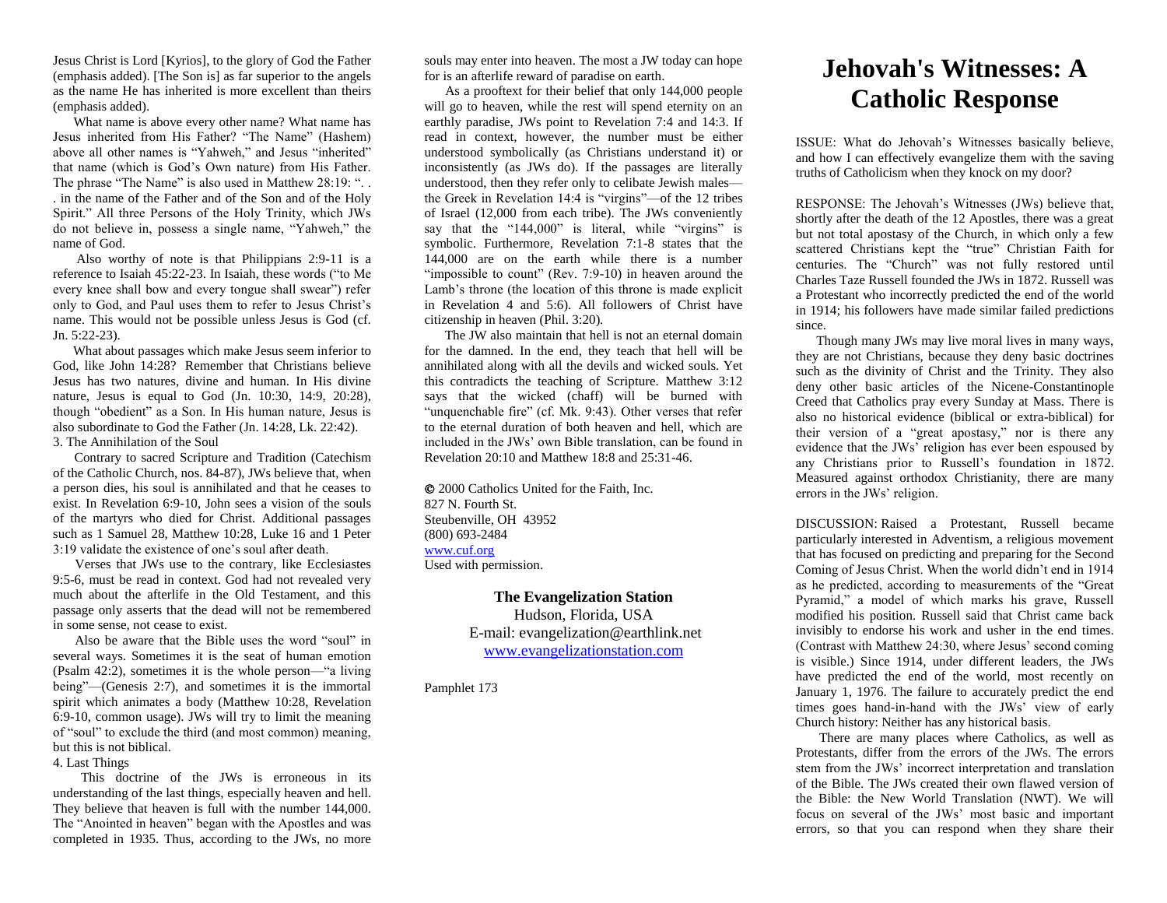Jesus Christ is Lord [Kyrios], to the glory of God the Father (emphasis added). [The Son is] as far superior to the angels as the name He has inherited is more excellent than theirs (emphasis added).

 What name is above every other name? What name has Jesus inherited from His Father? "The Name" (Hashem) above all other names is "Yahweh," and Jesus "inherited" that name (which is God's Own nature) from His Father. The phrase "The Name" is also used in Matthew 28:19: "... . in the name of the Father and of the Son and of the Holy Spirit." All three Persons of the Holy Trinity, which JWs do not believe in, possess a single name, "Yahweh," the name of God.

 Also worthy of note is that Philippians 2:9-11 is a reference to Isaiah 45:22-23. In Isaiah, these words ("to Me every knee shall bow and every tongue shall swear") refer only to God, and Paul uses them to refer to Jesus Christ's name. This would not be possible unless Jesus is God (cf. Jn. 5:22-23).

 What about passages which make Jesus seem inferior to God, like John 14:28? Remember that Christians believe Jesus has two natures, divine and human. In His divine nature, Jesus is equal to God (Jn. 10:30, 14:9, 20:28), though "obedient" as a Son. In His human nature, Jesus is also subordinate to God the Father (Jn. 14:28, Lk. 22:42). 3. The Annihilation of the Soul

 Contrary to sacred Scripture and Tradition (Catechism of the Catholic Church, nos. 84-87), JWs believe that, when a person dies, his soul is annihilated and that he ceases to exist. In Revelation 6:9-10, John sees a vision of the souls of the martyrs who died for Christ. Additional passages such as 1 Samuel 28, Matthew 10:28, Luke 16 and 1 Peter 3:19 validate the existence of one's soul after death.

 Verses that JWs use to the contrary, like Ecclesiastes 9:5-6, must be read in context. God had not revealed very much about the afterlife in the Old Testament, and this passage only asserts that the dead will not be remembered in some sense, not cease to exist.

 Also be aware that the Bible uses the word "soul" in several ways. Sometimes it is the seat of human emotion (Psalm 42:2), sometimes it is the whole person—"a living being"—(Genesis 2:7), and sometimes it is the immortal spirit which animates a body (Matthew 10:28, Revelation 6:9-10, common usage). JWs will try to limit the meaning of "soul" to exclude the third (and most common) meaning, but this is not biblical.

4. Last Things

 This doctrine of the JWs is erroneous in its understanding of the last things, especially heaven and hell. They believe that heaven is full with the number 144,000. The "Anointed in heaven" began with the Apostles and was completed in 1935. Thus, according to the JWs, no more souls may enter into heaven. The most a JW today can hope for is an afterlife reward of paradise on earth.

 As a prooftext for their belief that only 144,000 people will go to heaven, while the rest will spend eternity on an earthly paradise, JWs point to Revelation 7:4 and 14:3. If read in context, however, the number must be either understood symbolically (as Christians understand it) or inconsistently (as JWs do). If the passages are literally understood, then they refer only to celibate Jewish males the Greek in Revelation 14:4 is "virgins"—of the 12 tribes of Israel (12,000 from each tribe). The JWs conveniently say that the "144,000" is literal, while "virgins" is symbolic. Furthermore, Revelation 7:1-8 states that the 144,000 are on the earth while there is a number "impossible to count" (Rev. 7:9-10) in heaven around the Lamb's throne (the location of this throne is made explicit in Revelation 4 and 5:6). All followers of Christ have citizenship in heaven (Phil. 3:20).

 The JW also maintain that hell is not an eternal domain for the damned. In the end, they teach that hell will be annihilated along with all the devils and wicked souls. Yet this contradicts the teaching of Scripture. Matthew 3:12 says that the wicked (chaff) will be burned with "unquenchable fire" (cf. Mk. 9:43). Other verses that refer to the eternal duration of both heaven and hell, which are included in the JWs' own Bible translation, can be found in Revelation 20:10 and Matthew 18:8 and 25:31-46.

 2000 Catholics United for the Faith, Inc. 827 N. Fourth St. Steubenville, OH 43952 (800) 693-2484 [www.cuf.org](http://www.cuf.org/) Used with permission.

> **The Evangelization Station** Hudson, Florida, USA E-mail: evangelization@earthlink.net [www.evangelizationstation.com](http://www.pjpiisoe.org/)

Pamphlet 173

## **Jehovah's Witnesses: A Catholic Response**

ISSUE: What do Jehovah's Witnesses basically believe, and how I can effectively evangelize them with the saving truths of Catholicism when they knock on my door?

RESPONSE: The Jehovah's Witnesses (JWs) believe that, shortly after the death of the 12 Apostles, there was a great but not total apostasy of the Church, in which only a few scattered Christians kept the "true" Christian Faith for centuries. The "Church" was not fully restored until Charles Taze Russell founded the JWs in 1872. Russell was a Protestant who incorrectly predicted the end of the world in 1914; his followers have made similar failed predictions since.

 Though many JWs may live moral lives in many ways, they are not Christians, because they deny basic doctrines such as the divinity of Christ and the Trinity. They also deny other basic articles of the Nicene-Constantinople Creed that Catholics pray every Sunday at Mass. There is also no historical evidence (biblical or extra-biblical) for their version of a "great apostasy," nor is there any evidence that the JWs' religion has ever been espoused by any Christians prior to Russell's foundation in 1872. Measured against orthodox Christianity, there are many errors in the JWs' religion.

DISCUSSION: Raised a Protestant, Russell became particularly interested in Adventism, a religious movement that has focused on predicting and preparing for the Second Coming of Jesus Christ. When the world didn't end in 1914 as he predicted, according to measurements of the "Great Pyramid," a model of which marks his grave, Russell modified his position. Russell said that Christ came back invisibly to endorse his work and usher in the end times. (Contrast with Matthew 24:30, where Jesus' second coming is visible.) Since 1914, under different leaders, the JWs have predicted the end of the world, most recently on January 1, 1976. The failure to accurately predict the end times goes hand-in-hand with the JWs' view of early Church history: Neither has any historical basis.

 There are many places where Catholics, as well as Protestants, differ from the errors of the JWs. The errors stem from the JWs' incorrect interpretation and translation of the Bible. The JWs created their own flawed version of the Bible: the New World Translation (NWT). We will focus on several of the JWs' most basic and important errors, so that you can respond when they share their